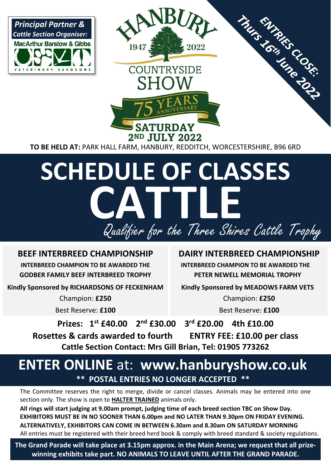

**TO BE HELD AT:** PARK HALL FARM, HANBURY, REDDITCH, WORCESTERSHIRE, B96 6RD

# **SCHEDULE OF CLASSES** I Qualifier for the Three Shires Cattle Trophy **CATTLE**

### **BEEF INTERBREED CHAMPIONSHIP**

**INTERBREED CHAMPION TO BE AWARDED THE GODBER FAMILY BEEF INTERBREED TROPHY**

**Kindly Sponsored by RICHARDSONS OF FECKENHAM** 

Champion: **£250**

Best Reserve: **£100**

#### **DAIRY INTERBREED CHAMPIONSHIP**

 **INTERBREED CHAMPION TO BE AWARDED THE PETER NEWELL MEMORIAL TROPHY** 

 **Kindly Sponsored by MEADOWS FARM VETS** 

Champion: **£250** Best Reserve: **£100**

**Prizes: 1st £40.00 2**  $2<sup>nd</sup>$  £30.00 **rd £20.00 4th £10.00 Rosettes & cards awarded to fourth ENTRY FEE: £10.00 per class Cattle Section Contact: Mrs Gill Brian, Tel: 01905 773262**

# **ENTER ONLINE** at: **www.hanburyshow.co.uk \*\* POSTAL ENTRIES NO LONGER ACCEPTED \*\***

The Committee reserves the right to merge, divide or cancel classes. Animals may be entered into one section only. The show is open to **HALTER TRAINED** animals only.

**All rings will start judging at 9.00am prompt, judging time of each breed section TBC on Show Day. EXHIBITORS MUST BE IN NO SOONER THAN 6.00pm and NO LATER THAN 9.30pm ON FRIDAY EVENING. ALTERNATIVELY, EXHIBITORS CAN COME IN BETWEEN 6.30am and 8.30am ON SATURDAY MORNING** All entries must be registered with their breed herd book & comply with breed standard & society regulations.

**The Grand Parade will take place at 3.15pm approx. in the Main Arena; we request that all prizewinning exhibits take part. NO ANIMALS TO LEAVE UNTIL AFTER THE GRAND PARADE.**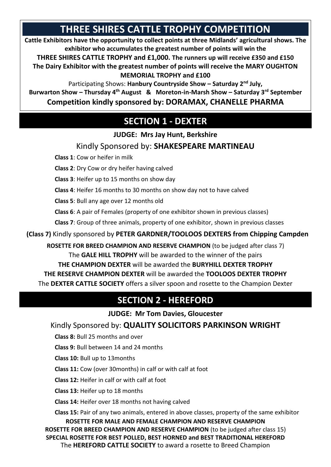# **THREE SHIRES CATTLE TROPHY COMPETITION**

**Cattle Exhibitors have the opportunity to collect points at three Midlands' agricultural shows. The exhibitor who accumulates the greatest number of points will win the**

**THREE SHIRES CATTLE TROPHY and £1,000. The runners up will receive £350 and £150 The Dairy Exhibitor with the greatest number of points will receive the MARY OUGHTON MEMORIAL TROPHY and £100** 

Participating Shows: **Hanbury Countryside Show – Saturday 2nd July,** 

**Burwarton Show – Thursday 4th August & Moreton-in-Marsh Show – Saturday 3rd September Competition kindly sponsored by: DORAMAX, CHANELLE PHARMA**

# **SECTION 1 - DEXTER**

**JUDGE: Mrs Jay Hunt, Berkshire**

#### Kindly Sponsored by: **SHAKESPEARE MARTINEAU**

 **Class 1**: Cow or heifer in milk

**Class 2**: Dry Cow or dry heifer having calved

**Class 3**: Heifer up to 15 months on show day

**Class 4**: Heifer 16 months to 30 months on show day not to have calved

**Class 5**: Bull any age over 12 months old

**Class 6**: A pair of Females (property of one exhibitor shown in previous classes)

**Class 7**: Group of three animals, property of one exhibitor, shown in previous classes

 **(Class 7)** Kindly sponsored by **PETER GARDNER/TOOLOOS DEXTERS from Chipping Campden**

**ROSETTE FOR BREED CHAMPION AND RESERVE CHAMPION** (to be judged after class 7) The **GALE HILL TROPHY** will be awarded to the winner of the pairs **THE CHAMPION DEXTER** will be awarded the **BURYHILL DEXTER TROPHY THE RESERVE CHAMPION DEXTER** will be awarded the **TOOLOOS DEXTER TROPHY** The **DEXTER CATTLE SOCIETY** offers a silver spoon and rosette to the Champion Dexter

### **SECTION 2 - HEREFORD**

**JUDGE: Mr Tom Davies, Gloucester**

Kindly Sponsored by: **QUALITY SOLICITORS PARKINSON WRIGHT** 

 **Class 8:** Bull 25 months and over

**Class 9:** Bull between 14 and 24 months

**Class 10:** Bull up to 13months

**Class 11:** Cow (over 30months) in calf or with calf at foot

**Class 12:** Heifer in calf or with calf at foot

**Class 13:** Heifer up to 18 months

**Class 14:** Heifer over 18 months not having calved

 **Class 15:** Pair of any two animals, entered in above classes, property of the same exhibitor **ROSETTE FOR MALE AND FEMALE CHAMPION AND RESERVE CHAMPION ROSETTE FOR BREED CHAMPION AND RESERVE CHAMPION** (to be judged after class 15) **SPECIAL ROSETTE FOR BEST POLLED, BEST HORNED and BEST TRADITIONAL HEREFORD**

The **HEREFORD CATTLE SOCIETY** to award a rosette to Breed Champion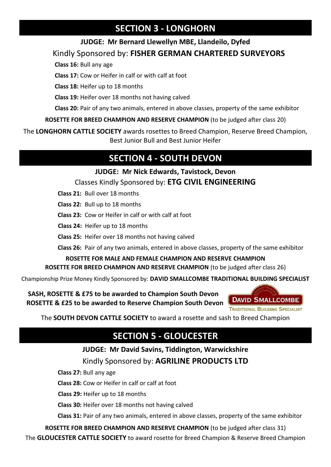# **SECTION 3 - LONGHORN**

#### **JUDGE: Mr Bernard Llewellyn MBE, Llandeilo, Dyfed**

Kindly Sponsored by: **FISHER GERMAN CHARTERED SURVEYORS**

 **Class 16:** Bull any age

**Class 17:** Cow or Heifer in calf or with calf at foot

**Class 18:** Heifer up to 18 months

**Class 19:** Heifer over 18 months not having calved

**Class 20:** Pair of any two animals, entered in above classes, property of the same exhibitor

**ROSETTE FOR BREED CHAMPION AND RESERVE CHAMPION** (to be judged after class 20)

The **LONGHORN CATTLE SOCIETY** awards rosettes to Breed Champion, Reserve Breed Champion, Best Junior Bull and Best Junior Heifer

# **SECTION 4 - SOUTH DEVON**

#### **JUDGE: Mr Nick Edwards, Tavistock, Devon** Classes Kindly Sponsored by: **ETG CIVIL ENGINEERING**

- **Class 21:** Bull over 18 months
- **Class 22:** Bull up to 18 months

**Class 23:** Cow or Heifer in calf or with calf at foot

**Class 24:** Heifer up to 18 months

**Class 25:** Heifer over 18 months not having calved

**Class 26:** Pair of any two animals, entered in above classes, property of the same exhibitor

**ROSETTE FOR MALE AND FEMALE CHAMPION AND RESERVE CHAMPION ROSETTE FOR BREED CHAMPION AND RESERVE CHAMPION** (to be judged after class 26)

Championship Prize Money Kindly Sponsored by: **DAVID SMALLCOMBE TRADITIONAL BUILDING SPECIALIST**

 **SASH, ROSETTE & £75 to be awarded to Champion South Devon ROSETTE & £25 to be awarded to Reserve Champion South Devon**



The **SOUTH DEVON CATTLE SOCIETY** to award a rosette and sash to Breed Champion

# **SECTION 5 - GLOUCESTER**

#### **JUDGE: Mr David Savins, Tiddington, Warwickshire**

Kindly Sponsored by: **AGRILINE PRODUCTS LTD**

 **Class 27:** Bull any age

**Class 28:** Cow or Heifer in calf or calf at foot

**Class 29:** Heifer up to 18 months

**Class 30:** Heifer over 18 months not having calved

**Class 31:** Pair of any two animals, entered in above classes, property of the same exhibitor

**ROSETTE FOR BREED CHAMPION AND RESERVE CHAMPION** (to be judged after class 31) The **GLOUCESTER CATTLE SOCIETY** to award rosette for Breed Champion & Reserve Breed Champion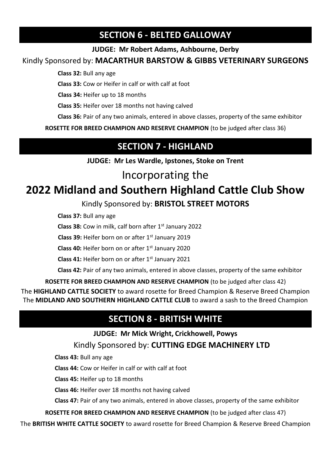### **SECTION 6 - BELTED GALLOWAY**

#### **JUDGE: Mr Robert Adams, Ashbourne, Derby**

Kindly Sponsored by: **MACARTHUR BARSTOW & GIBBS VETERINARY SURGEONS**

 **Class 32:** Bull any age

**Class 33:** Cow or Heifer in calf or with calf at foot

**Class 34:** Heifer up to 18 months

**Class 35:** Heifer over 18 months not having calved

**Class 36:** Pair of any two animals, entered in above classes, property of the same exhibitor

**ROSETTE FOR BREED CHAMPION AND RESERVE CHAMPION** (to be judged after class 36)

# **SECTION 7 - HIGHLAND**

**JUDGE: Mr Les Wardle, Ipstones, Stoke on Trent** 

# Incorporating the

# **2022 Midland and Southern Highland Cattle Club Show**

### Kindly Sponsored by: **BRISTOL STREET MOTORS**

 **Class 37:** Bull any age

**Class 38:** Cow in milk, calf born after 1<sup>st</sup> January 2022

Class 39: Heifer born on or after 1<sup>st</sup> January 2019

**Class 40:** Heifer born on or after 1st January 2020

**Class 41:** Heifer born on or after 1st January 2021

**Class 42:** Pair of any two animals, entered in above classes, property of the same exhibitor

**ROSETTE FOR BREED CHAMPION AND RESERVE CHAMPION** (to be judged after class 42)

The **HIGHLAND CATTLE SOCIETY** to award rosette for Breed Champion & Reserve Breed Champion The **MIDLAND AND SOUTHERN HIGHLAND CATTLE CLUB** to award a sash to the Breed Champion

### **SECTION 8 - BRITISH WHITE**

**JUDGE: Mr Mick Wright, Crickhowell, Powys** 

Kindly Sponsored by: **CUTTING EDGE MACHINERY LTD**

 **Class 43:** Bull any age

**Class 44:** Cow or Heifer in calf or with calf at foot

**Class 45:** Heifer up to 18 months

**Class 46:** Heifer over 18 months not having calved

**Class 47:** Pair of any two animals, entered in above classes, property of the same exhibitor

**ROSETTE FOR BREED CHAMPION AND RESERVE CHAMPION** (to be judged after class 47)

The **BRITISH WHITE CATTLE SOCIETY** to award rosette for Breed Champion & Reserve Breed Champion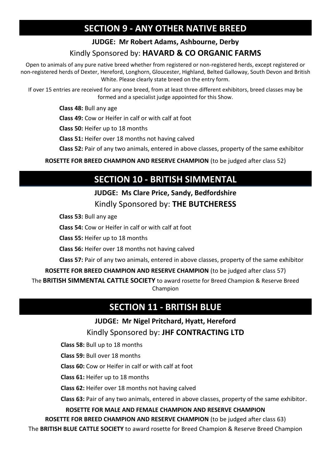# **SECTION 9 - ANY OTHER NATIVE BREED**

#### **JUDGE: Mr Robert Adams, Ashbourne, Derby**

#### Kindly Sponsored by: **HAVARD & CO ORGANIC FARMS**

Open to animals of any pure native breed whether from registered or non-registered herds, except registered or non-registered herds of Dexter, Hereford, Longhorn, Gloucester, Highland, Belted Galloway, South Devon and British White. Please clearly state breed on the entry form.

If over 15 entries are received for any one breed, from at least three different exhibitors, breed classes may be formed and a specialist judge appointed for this Show.

 **Class 48:** Bull any age

**Class 49:** Cow or Heifer in calf or with calf at foot

**Class 50:** Heifer up to 18 months

**Class 51:** Heifer over 18 months not having calved

**Class 52:** Pair of any two animals, entered in above classes, property of the same exhibitor

**ROSETTE FOR BREED CHAMPION AND RESERVE CHAMPION** (to be judged after class 52)

# **SECTION 10 - BRITISH SIMMENTAL**

### **JUDGE: Ms Clare Price, Sandy, Bedfordshire**  Kindly Sponsored by: **THE BUTCHERESS**

 **Class 53:** Bull any age

**Class 54:** Cow or Heifer in calf or with calf at foot

**Class 55:** Heifer up to 18 months

**Class 56:** Heifer over 18 months not having calved

**Class 57:** Pair of any two animals, entered in above classes, property of the same exhibitor

**ROSETTE FOR BREED CHAMPION AND RESERVE CHAMPION** (to be judged after class 57)

The **BRITISH SIMMENTAL CATTLE SOCIETY** to award rosette for Breed Champion & Reserve Breed Champion

#### **SECTION 11 - BRITISH BLUE**

#### **JUDGE: Mr Nigel Pritchard, Hyatt, Hereford** Kindly Sponsored by: **JHF CONTRACTING LTD**

 **Class 58:** Bull up to 18 months

**Class 59:** Bull over 18 months

**Class 60:** Cow or Heifer in calf or with calf at foot

**Class 61:** Heifer up to 18 months

**Class 62:** Heifer over 18 months not having calved

**Class 63:** Pair of any two animals, entered in above classes, property of the same exhibitor.

**ROSETTE FOR MALE AND FEMALE CHAMPION AND RESERVE CHAMPION**

**ROSETTE FOR BREED CHAMPION AND RESERVE CHAMPION** (to be judged after class 63)

The **BRITISH BLUE CATTLE SOCIETY** to award rosette for Breed Champion & Reserve Breed Champion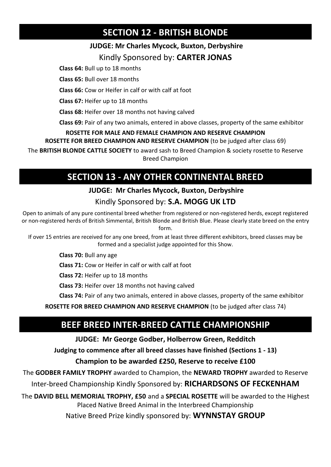# **SECTION 12 - BRITISH BLONDE**

#### **JUDGE: Mr Charles Mycock, Buxton, Derbyshire**

#### Kindly Sponsored by: **CARTER JONAS**

 **Class 64:** Bull up to 18 months

**Class 65:** Bull over 18 months

**Class 66:** Cow or Heifer in calf or with calf at foot

**Class 67:** Heifer up to 18 months

**Class 68:** Heifer over 18 months not having calved

**Class 69:** Pair of any two animals, entered in above classes, property of the same exhibitor

#### **ROSETTE FOR MALE AND FEMALE CHAMPION AND RESERVE CHAMPION**

**ROSETTE FOR BREED CHAMPION AND RESERVE CHAMPION** (to be judged after class 69)

The **BRITISH BLONDE CATTLE SOCIETY** to award sash to Breed Champion & society rosette to Reserve Breed Champion

# **SECTION 13 - ANY OTHER CONTINENTAL BREED**

#### **JUDGE: Mr Charles Mycock, Buxton, Derbyshire**

#### Kindly Sponsored by: **S.A. MOGG UK LTD**

Open to animals of any pure continental breed whether from registered or non-registered herds, except registered or non-registered herds of British Simmental, British Blonde and British Blue. Please clearly state breed on the entry form.

If over 15 entries are received for any one breed, from at least three different exhibitors, breed classes may be formed and a specialist judge appointed for this Show.

 **Class 70:** Bull any age

**Class 71:** Cow or Heifer in calf or with calf at foot

**Class 72:** Heifer up to 18 months

**Class 73:** Heifer over 18 months not having calved

**Class 74:** Pair of any two animals, entered in above classes, property of the same exhibitor

**ROSETTE FOR BREED CHAMPION AND RESERVE CHAMPION** (to be judged after class 74)

# **BEEF BREED INTER-BREED CATTLE CHAMPIONSHIP**

#### **JUDGE: Mr George Godber, Holberrow Green, Redditch**

**Judging to commence after all breed classes have finished (Sections 1 - 13)**

#### **Champion to be awarded £250, Reserve to receive £100**

The **GODBER FAMILY TROPHY** awarded to Champion, the **NEWARD TROPHY** awarded to Reserve

Inter-breed Championship Kindly Sponsored by: **RICHARDSONS OF FECKENHAM** 

The **DAVID BELL MEMORIAL TROPHY, £50** and a **SPECIAL ROSETTE** will be awarded to the Highest Placed Native Breed Animal in the Interbreed Championship

Native Breed Prize kindly sponsored by: **WYNNSTAY GROUP**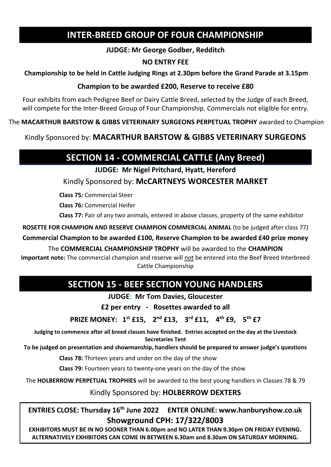### **INTER-BREED GROUP OF FOUR CHAMPIONSHIP**

#### **JUDGE: Mr George Godber, Redditch**

#### **NO ENTRY FEE**

#### **Championship to be held in Cattle Judging Rings at 2.30pm before the Grand Parade at 3.15pm**

#### **Champion to be awarded £200, Reserve to receive £80**

Four exhibits from each Pedigree Beef or Dairy Cattle Breed, selected by the Judge of each Breed, will compete for the Inter-Breed Group of Four Championship. Commercials not eligible for entry.

The **MACARTHUR BARSTOW & GIBBS VETERINARY SURGEONS PERPETUAL TROPHY** awarded to Champion

Kindly Sponsored by: **MACARTHUR BARSTOW & GIBBS VETERINARY SURGEONS** 

# **SECTION 14 - COMMERCIAL CATTLE (Any Breed)**

**JUDGE: Mr Nigel Pritchard, Hyatt, Hereford**

Kindly Sponsored by: **McCARTNEYS WORCESTER MARKET**

 **Class 75:** Commercial Steer

**Class 76:** Commercial Heifer

**Class 77:** Pair of any two animals, entered in above classes, property of the same exhibitor

**ROSETTE FOR CHAMPION AND RESERVE CHAMPION COMMERCIAL ANIMAL** (to be judged after class 77)

**Commercial Champion to be awarded £100, Reserve Champion to be awarded £40 prize money**

The **COMMERCIAL CHAMPIONSHIP TROPHY** will be awarded to the **CHAMPION Important note:** The commercial champion and reserve will not be entered into the Beef Breed Interbreed Cattle Championship

# **SECTION 15 - BEEF SECTION YOUNG HANDLERS**

**JUDGE: Mr Tom Davies, Gloucester**

**£2 per entry - Rosettes awarded to all**

**PRIZE MONEY: 1 st £15, 2 nd £13, 3 rd £11, 4 th £9, 5 th £7** 

**Judging to commence after all breed classes have finished. Entries accepted on the day at the Livestock Secretaries Tent**

**To be judged on presentation and showmanship, handlers should be prepared to answer judge's questions** 

 **Class 78:** Thirteen years and under on the day of the show

**Class 79:** Fourteen years to twenty-one years on the day of the show

The **HOLBERROW PERPETUAL TROPHIES** will be awarded to the best young handlers in Classes 78 & 79

Kindly Sponsored by: **HOLBERROW DEXTERS**

**ENTRIES CLOSE: Thursday 16th June 2022 ENTER ONLINE: www.hanburyshow.co.uk Showground CPH: 17/322/8003**

**EXHIBITORS MUST BE IN NO SOONER THAN 6.00pm and NO LATER THAN 9.30pm ON FRIDAY EVENING. ALTERNATIVELY EXHIBITORS CAN COME IN BETWEEN 6.30am and 8.30am ON SATURDAY MORNING.**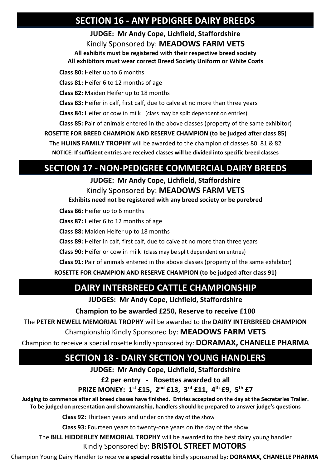### **SECTION 16 - ANY PEDIGREE DAIRY BREEDS**

**JUDGE: Mr Andy Cope, Lichfield, Staffordshire** Kindly Sponsored by: **MEADOWS FARM VETS**

**All exhibits must be registered with their respective breed society**

**All exhibitors must wear correct Breed Society Uniform or White Coats**

 **Class 80:** Heifer up to 6 months

**Class 81:** Heifer 6 to 12 months of age

**Class 82:** Maiden Heifer up to 18 months

**Class 83:** Heifer in calf, first calf, due to calve at no more than three years

**Class 84:** Heifer or cow in milk (class may be split dependent on entries)

**Class 85:** Pair of animals entered in the above classes (property of the same exhibitor)

**ROSETTE FOR BREED CHAMPION AND RESERVE CHAMPION (to be judged after class 85)**

The **HUINS FAMILY TROPHY** will be awarded to the champion of classes 80, 81 & 82 **NOTICE: If sufficient entries are received classes will be divided into specific breed classes** 

### **SECTION 17 - NON-PEDIGREE COMMERCIAL DAIRY BREEDS**

**JUDGE: Mr Andy Cope, Lichfield, Staffordshire** Kindly Sponsored by: **MEADOWS FARM VETS**

**Exhibits need not be registered with any breed society or be purebred**

 **Class 86:** Heifer up to 6 months

**Class 87:** Heifer 6 to 12 months of age

**Class 88:** Maiden Heifer up to 18 months

**Class 89:** Heifer in calf, first calf, due to calve at no more than three years

**Class 90:** Heifer or cow in milk (class may be split dependent on entries)

**Class 91:** Pair of animals entered in the above classes (property of the same exhibitor)

#### **ROSETTE FOR CHAMPION AND RESERVE CHAMPION (to be judged after class 91)**

# **DAIRY INTERBREED CATTLE CHAMPIONSHIP**

**JUDGES: Mr Andy Cope, Lichfield, Staffordshire**

**Champion to be awarded £250, Reserve to receive £100** 

The **PETER NEWELL MEMORIAL TROPHY** will be awarded to the **DAIRY INTERBREED CHAMPION**

Championship Kindly Sponsored by: **MEADOWS FARM VETS** 

Champion to receive a special rosette kindly sponsored by: **DORAMAX, CHANELLE PHARMA**

# **SECTION 18 - DAIRY SECTION YOUNG HANDLERS**

**JUDGE: Mr Andy Cope, Lichfield, Staffordshire**

**£2 per entry - Rosettes awarded to all**

**PRIZE MONEY: 1st £15, 2nd £13, 3rd £11, 4th £9, 5th £7** 

**Judging to commence after all breed classes have finished. Entries accepted on the day at the Secretaries Trailer. To be judged on presentation and showmanship, handlers should be prepared to answer judge's questions** 

 **Class 92:** Thirteen years and under on the day of the show

**Class 93:** Fourteen years to twenty-one years on the day of the show

The **BILL HIDDERLEY MEMORIAL TROPHY** will be awarded to the best dairy young handler Kindly Sponsored by: **BRISTOL STREET MOTORS**

Champion Young Dairy Handler to receive **a special rosette** kindly sponsored by: **DORAMAX, CHANELLE PHARMA**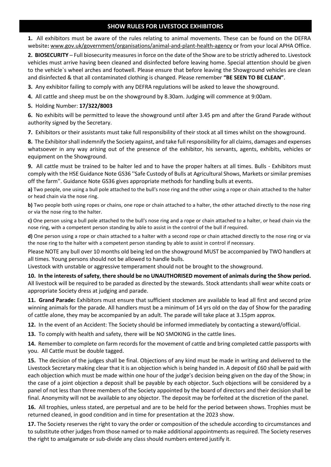#### **SHOW RULES FOR LIVESTOCK EXHIBITORS**

**1.** All exhibitors must be aware of the rules relating to animal movements. These can be found on the DEFRA website**:** www.gov.uk/government/organisations/animal-and-plant-health-agency or from your local APHA Office.

**2. BIOSECURITY** – Full biosecurity measures in force on the date of the Show are to be strictly adhered to. Livestock vehicles must arrive having been cleaned and disinfected before leaving home. Special attention should be given to the vehicle`s wheel arches and footwell. Please ensure that before leaving the Showground vehicles are clean and disinfected & that all contaminated clothing is changed. Please remember **"BE SEEN TO BE CLEAN"**.

**3.** Any exhibitor failing to comply with any DEFRA regulations will be asked to leave the showground.

**4.** All cattle and sheep must be on the showground by 8.30am. Judging will commence at 9:00am.

#### **5.** Holding Number: **17/322/8003**

**6.** No exhibits will be permitted to leave the showground until after 3.45 pm and after the Grand Parade without authority signed by the Secretary.

**7.** Exhibitors or their assistants must take full responsibility of their stock at all times whilst on the showground.

**8.** The Exhibitor shall indemnify the Society against, and take full responsibility for all claims, damages and expenses whatsoever in any way arising out of the presence of the exhibitor, his servants, agents, exhibits, vehicles or equipment on the Showground.

**9.** All cattle must be trained to be halter led and to have the proper halters at all times. Bulls - Exhibitors must comply with the HSE Guidance Note GS36 ''Safe Custody of Bulls at Agricultural Shows, Markets or similar premises off the farm''. Guidance Note GS36 gives appropriate methods for handling bulls at events.

**a)** Two people, one using a bull pole attached to the bull's nose ring and the other using a rope or chain attached to the halter or head chain via the nose ring.

**b)** Two people both using ropes or chains, one rope or chain attached to a halter, the other attached directly to the nose ring or via the nose ring to the halter.

**c)** One person using a bull pole attached to the bull's nose ring and a rope or chain attached to a halter, or head chain via the nose ring, with a competent person standing by able to assist in the control of the bull if required.

**d)** One person using a rope or chain attached to a halter with a second rope or chain attached directly to the nose ring or via the nose ring to the halter with a competent person standing by able to assist in control if necessary.

Please NOTE any bull over 10 months old being led on the showground MUST be accompanied by TWO handlers at all times. Young persons should not be allowed to handle bulls.

Livestock with unstable or aggressive temperament should not be brought to the showground.

**10. In the interests of safety, there should be no UNAUTHORISED movement of animals during the Show period.** All livestock will be required to be paraded as directed by the stewards. Stock attendants shall wear white coats or appropriate Society dress at judging and parade.

**11. Grand Parade:** Exhibitors must ensure that sufficient stockmen are available to lead all first and second prize winning animals for the parade. All handlers must be a minimum of 14 yrs old on the day of Show for the parading of cattle alone, they may be accompanied by an adult. The parade will take place at 3.15pm approx.

**12.** In the event of an Accident: The Society should be informed immediately by contacting a steward/official.

**13.** To comply with health and safety, there will be NO SMOKING in the cattle lines.

**14.** Remember to complete on farm records for the movement of cattle and bring completed cattle passports with you. All Cattle must be double tagged.

**15.** The decision of the judges shall be final. Objections of any kind must be made in writing and delivered to the Livestock Secretary making clear that it is an objection which is being handed in. A deposit of £60 shall be paid with each objection which must be made within one hour of the judge's decision being given on the day of the Show; in the case of a joint objection a deposit shall be payable by each objector. Such objections will be considered by a panel of not less than three members of the Society appointed by the board of directors and their decision shall be final. Anonymity will not be available to any objector. The deposit may be forfeited at the discretion of the panel.

**16.** All trophies, unless stated, are perpetual and are to be held for the period between shows. Trophies must be returned cleaned, in good condition and in time for presentation at the 2023 show.

**17.** The Society reserves the right to vary the order or composition of the schedule according to circumstances and to substitute other judges from those named or to make additional appointments as required. The Society reserves the right to amalgamate or sub-divide any class should numbers entered justify it.